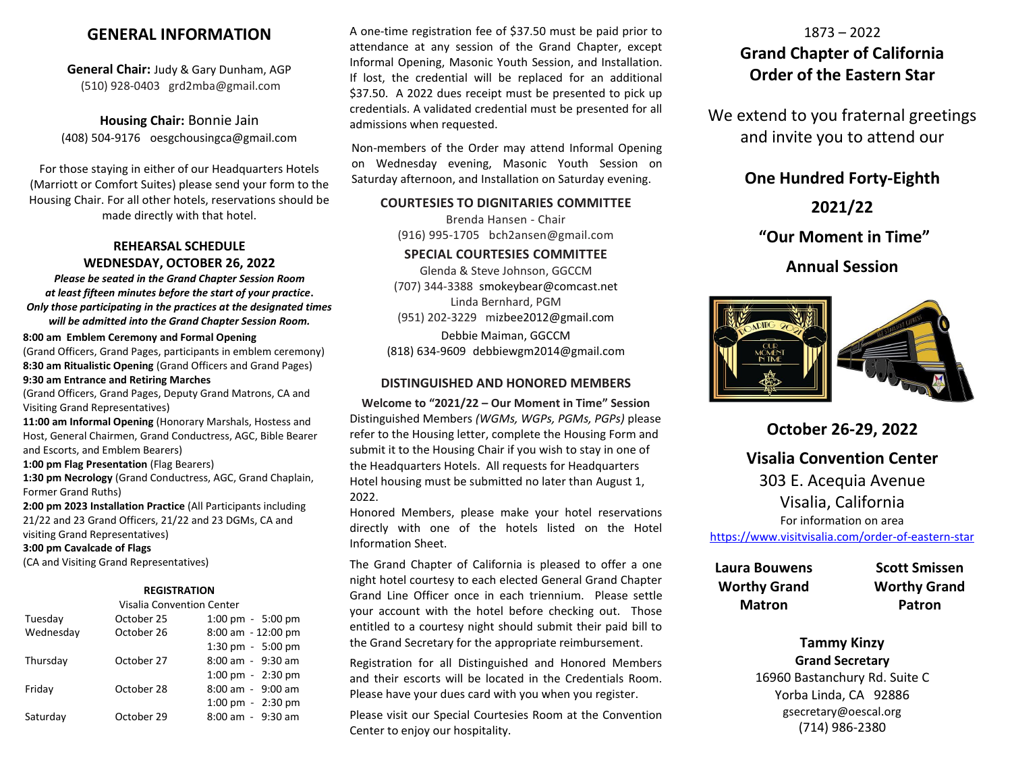## **GENERAL INFORMATION**

**General Chair:** Judy & Gary Dunham, AGP (510) 928-0403 grd2mba@gmail.com

**Housing Chair:** Bonnie Jain (408) 504-9176 oesgchousingca@gmail.com

For those staying in either of our Headquarters Hotels (Marriott or Comfort Suites) please send your form to the Housing Chair. For all other hotels, reservations should be made directly with that hotel.

## **REHEARSAL SCHEDULE WEDNESDAY, OCTOBER 26, 2022**

*Please be seated in the Grand Chapter Session Room at least fifteen minutes before the start of your practice***.** *Only those participating in the practices at the designated times will be admitted into the Grand Chapter Session Room.*

#### **8:00 am Emblem Ceremony and Formal Opening**

(Grand Officers, Grand Pages, participants in emblem ceremony) **8:30 am Ritualistic Opening** (Grand Officers and Grand Pages) **9:30 am Entrance and Retiring Marches**

(Grand Officers, Grand Pages, Deputy Grand Matrons, CA and Visiting Grand Representatives)

**11:00 am Informal Opening** (Honorary Marshals, Hostess and Host, General Chairmen, Grand Conductress, AGC, Bible Bearer and Escorts, and Emblem Bearers)

**1:00 pm Flag Presentation** (Flag Bearers)

**1:30 pm Necrology** (Grand Conductress, AGC, Grand Chaplain, Former Grand Ruths)

**2:00 pm 2023 Installation Practice** (All Participants including 21/22 and 23 Grand Officers, 21/22 and 23 DGMs, CA and visiting Grand Representatives)

**3:00 pm Cavalcade of Flags**

(CA and Visiting Grand Representatives)

#### **REGISTRATION**

| <b>Visalia Convention Center</b> |            |                       |
|----------------------------------|------------|-----------------------|
| Tuesday                          | October 25 | 1:00 pm - 5:00 pm     |
| Wednesday                        | October 26 | 8:00 am - 12:00 pm    |
|                                  |            | 1:30 pm - 5:00 pm     |
| Thursday                         | October 27 | $8:00$ am $-9:30$ am  |
|                                  |            | 1:00 pm $-$ 2:30 pm   |
| Friday                           | October 28 | $8:00$ am - $9:00$ am |
|                                  |            | 1:00 pm - 2:30 pm     |
| Saturday                         | October 29 | $8:00$ am $-9:30$ am  |
|                                  |            |                       |

A one-time registration fee of \$37.50 must be paid prior to attendance at any session of the Grand Chapter, except Informal Opening, Masonic Youth Session, and Installation. If lost, the credential will be replaced for an additional \$37.50. A 2022 dues receipt must be presented to pick up credentials. A validated credential must be presented for all admissions when requested.

Non-members of the Order may attend Informal Opening on Wednesday evening, Masonic Youth Session on Saturday afternoon, and Installation on Saturday evening.

#### **COURTESIES TO DIGNITARIES COMMITTEE**

Brenda Hansen - Chair (916) 995-1705 bch2ansen@gmail.com

### **SPECIAL COURTESIES COMMITTEE**

Glenda & Steve Johnson, GGCCM (707) 344-3388 smokeybear@comcast.net Linda Bernhard, PGM (951) 202-3229 mizbee2012@gmail.com

Debbie Maiman, GGCCM (818) 634-9609 debbiewgm2014@gmail.com

#### **DISTINGUISHED AND HONORED MEMBERS**

**Welcome to "2021/22 – Our Moment in Time" Session** Distinguished Members *(WGMs, WGPs, PGMs, PGPs)* please refer to the Housing letter, complete the Housing Form and submit it to the Housing Chair if you wish to stay in one of the Headquarters Hotels. All requests for Headquarters Hotel housing must be submitted no later than August 1, 2022.

Honored Members, please make your hotel reservations directly with one of the hotels listed on the Hotel Information Sheet.

The Grand Chapter of California is pleased to offer a one night hotel courtesy to each elected General Grand Chapter Grand Line Officer once in each triennium. Please settle your account with the hotel before checking out. Those entitled to a courtesy night should submit their paid bill to the Grand Secretary for the appropriate reimbursement.

Registration for all Distinguished and Honored Members and their escorts will be located in the Credentials Room. Please have your dues card with you when you register.

Please visit our Special Courtesies Room at the Convention Center to enjoy our hospitality.

# 1873 – 2022 **Grand Chapter of California Order of the Eastern Star**

We extend to you fraternal greetings and invite you to attend our

## **One Hundred Forty-Eighth**

**2021/22**

**"Our Moment in Time"**

## **Annual Session**



**October 26-29, 2022**

**Visalia Convention Center** 303 E. Acequia Avenue Visalia, California For information on area

<https://www.visitvisalia.com/order-of-eastern-star>

| Laura Bouwens       | <b>Scott Smissen</b> |
|---------------------|----------------------|
| <b>Worthy Grand</b> | <b>Worthy Grand</b>  |
| <b>Matron</b>       | Patron               |

## **Tammy Kinzy Grand Secretary**

16960 Bastanchury Rd. Suite C Yorba Linda, CA 92886 [gsecretary@oescal.org](mailto:gsecretary@oescal.org) (714) 986-2380